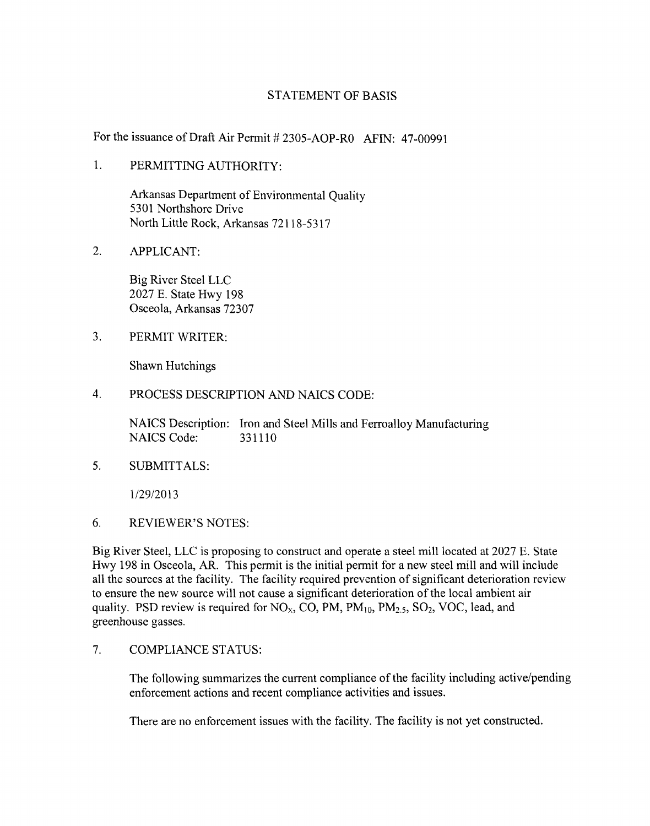#### STATEMENT OF BASIS

For the issuance of Draft Air Permit # 2305-AOP-R0 AFIN: 47-00991

1. PERMITTING AUTHORITY:

Arkansas Department of Environmental Quality 5301 Northshore Drive North Little Rock, Arkansas 72118-5317

2. APPLICANT:

Big River Steel LLC 2027 E. State Hwy 198 Osceola, Arkansas 72307

3. PERMIT WRITER:

Shawn Hutchings

4. PROCESS DESCRIPTION AND NAICS CODE:

NAICS Description: Iron and Steel Mills and Ferroalloy Manufacturing NAICS Code: 331110

5. SUBMITTALS:

1/29/2013

6. REVIEWER'S NOTES:

Big River Steel, LLC is proposing to construct and operate a steel mill located at 2027 E. State Hwy 198 in Osceola, AR. This permit is the initial permit for a new steel mill and will include all the sources at the facility. The facility required prevention of significant deterioration review to ensure the new source will not cause a significant deterioration of the local ambient air quality. PSD review is required for  $NO<sub>x</sub>$ , CO, PM, PM<sub>10</sub>, PM<sub>2.5</sub>, SO<sub>2</sub>, VOC, lead, and greenhouse gasses.

7. COMPLIANCE STATUS:

The following summarizes the current compliance of the facility including active/pending enforcement actions and recent compliance activities and issues.

There are no enforcement issues with the facility. The facility is not yet constructed.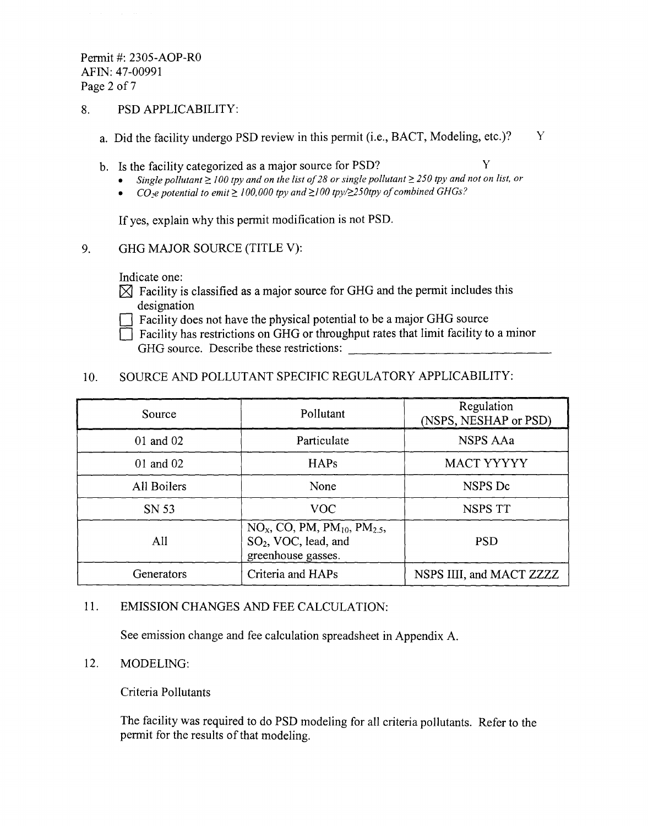Permit #: 2305-AOP-RO AFIN: 47-00991 Page 2 of 7

#### 8. PSD APPLICABILITY:

- a. Did the facility undergo PSD review in this permit (i.e., BACT, Modeling, etc.)?  $Y$
- b. Is the facility categorized as a major source for PSD?  $Y$ 
	- *Single pollutant>: 100 tpy and on the list of*28 *or single pollutant* > *250 tpy and not on list. or*
	- CO<sub>2</sub>e potential to emit  $\geq 100,000$  tpy and  $\geq 100$  tpy/ $\geq 250$ tpy of combined GHGs?

If yes, explain why this permit modification is not PSD.

9. GHG MAJOR SOURCE (TITLE V):

Indicate one:

 $\boxtimes$  Facility is classified as a major source for GHG and the permit includes this designation

 $\bigcap$  Facility does not have the physical potential to be a major GHG source

 $\Box$  Facility has restrictions on GHG or throughput rates that limit facility to a minor GHG source. Describe these restrictions:

## 10. SOURCE AND POLLUTANT SPECIFIC REGULATORY APPLICABILITY:

| Source      | Pollutant                                                                                                        | Regulation<br>(NSPS, NESHAP or PSD) |
|-------------|------------------------------------------------------------------------------------------------------------------|-------------------------------------|
| 01 and 02   | Particulate                                                                                                      | <b>NSPS AAa</b>                     |
| 01 and 02   | <b>HAPs</b>                                                                                                      | MACT YYYYY                          |
| All Boilers | None                                                                                                             | NSPS Dc                             |
| SN 53       | <b>VOC</b>                                                                                                       | NSPS TT                             |
| All         | $NOx$ , CO, PM, PM <sub>10</sub> , PM <sub>2.5</sub> ,<br>SO <sub>2</sub> , VOC, lead, and<br>greenhouse gasses. | <b>PSD</b>                          |
| Generators  | Criteria and HAPs                                                                                                | NSPS IIII, and MACT ZZZZ            |

#### 11. EMISSION CHANGES AND FEE CALCULATION:

See emission change and fee calculation spreadsheet in Appendix A.

#### 12. MODELING:

Criteria Pollutants

The facility was required to do PSD modeling for all criteria pollutants. Refer to the permit for the results of that modeling.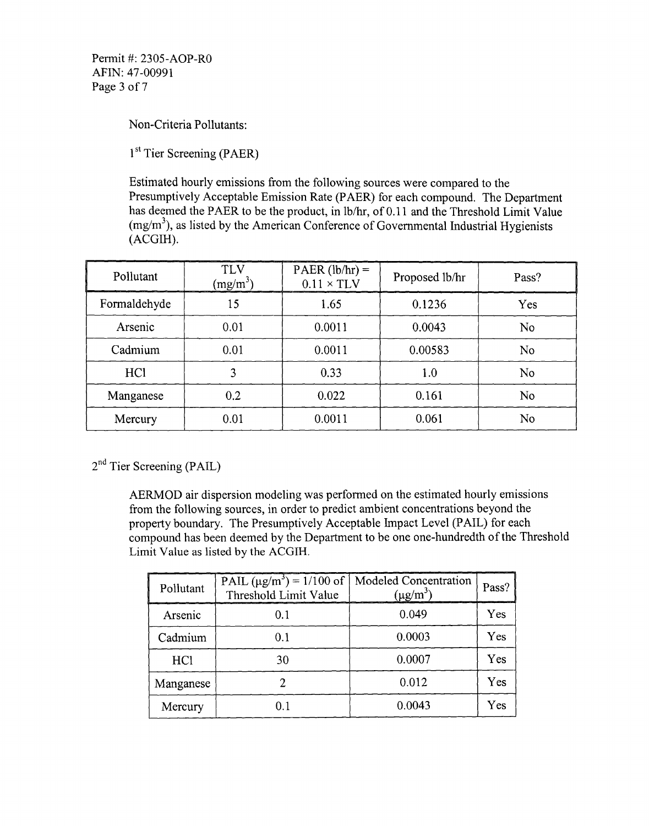Non-Criteria Pollutants:

1<sup>st</sup> Tier Screening (PAER)

Estimated hourly emissions from the following sources were compared to the Presumptively Acceptable Emission Rate (PAER) for each compound. The Department has deemed the PAER to be the product, in lb/hr, of 0.11 and the Threshold Limit Value  $(mg/m<sup>3</sup>)$ , as listed by the American Conference of Governmental Industrial Hygienists (ACGIH).

| Pollutant       | <b>TLV</b><br>$(mg/m^3)$ | $PAER (lb/hr) =$<br>$0.11 \times TLV$ | Proposed lb/hr | Pass?          |
|-----------------|--------------------------|---------------------------------------|----------------|----------------|
| Formaldehyde    | 15                       | 1.65                                  | 0.1236         | Yes            |
| Arsenic         | 0.01                     | 0.0011                                | 0.0043         | N <sub>o</sub> |
| Cadmium         | 0.01                     | 0.0011                                | 0.00583        | N <sub>o</sub> |
| HC <sub>1</sub> | 3                        | 0.33                                  | 1.0            | N <sub>o</sub> |
| Manganese       | 0.2                      | 0.022                                 | 0.161          | No             |
| Mercury         | 0.01                     | 0.0011                                | 0.061          | No             |

2<sup>nd</sup> Tier Screening (PAIL)

AERMOD air dispersion modeling was performed on the estimated hourly emissions from the following sources, in order to predict ambient concentrations beyond the property boundary. The Presumptively Acceptable Impact Level (PAIL) for each compound has been deemed by the Department to be one one-hundredth of the Threshold Limit Value as listed by the ACGIH.

| Pollutant | PAIL $(\mu g/m^3) = 1/100$ of   Modeled Concentration<br>Threshold Limit Value | $(\mu g/m^3)$ | Pass? |
|-----------|--------------------------------------------------------------------------------|---------------|-------|
| Arsenic   | 0.1                                                                            | 0.049         | Yes   |
| Cadmium   | 0.1                                                                            | 0.0003        | Yes   |
| HC1       | 30                                                                             | 0.0007        | Yes   |
| Manganese |                                                                                | 0.012         | Yes   |
| Mercury   | 0.1                                                                            | 0.0043        | Yes   |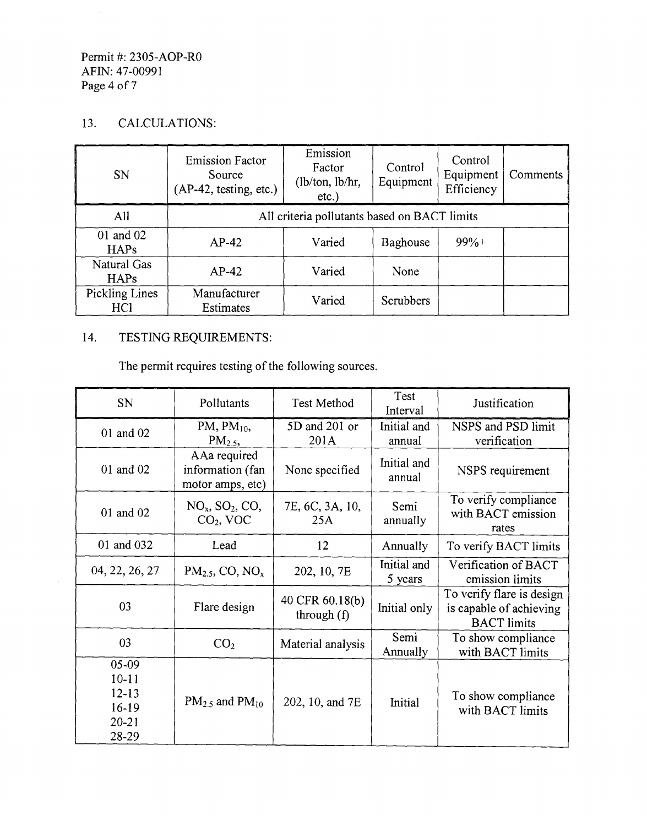#### Permit #: 2305-AOP-RO AFIN: 47-00991 Page 4 of 7

## 13. CALCULATIONS:

| SN                                       | <b>Emission Factor</b><br>Source<br>$(AP-42, testing, etc.)$ | Emission<br>Factor<br>(lb/ton, lb/hr,<br>$etc.$ ) | Control<br>Equipment | Control<br>Equipment<br>Efficiency | Comments |
|------------------------------------------|--------------------------------------------------------------|---------------------------------------------------|----------------------|------------------------------------|----------|
| A11                                      | All criteria pollutants based on BACT limits                 |                                                   |                      |                                    |          |
| 01 and 02<br><b>HAPs</b>                 | $AP-42$                                                      | Varied                                            | Baghouse             | $99%+$                             |          |
| Natural Gas<br><b>HAPs</b>               | $AP-42$                                                      | Varied                                            | None                 |                                    |          |
| <b>Pickling Lines</b><br>HC <sub>1</sub> | Manufacturer<br>Estimates                                    | Varied                                            | Scrubbers            |                                    |          |

# 14. TESTING REQUIREMENTS:

The permit requires testing of the following sources.

| SN                                                               | Pollutants                                           | <b>Test Method</b>               | Test<br>Interval       | Justification                                                              |
|------------------------------------------------------------------|------------------------------------------------------|----------------------------------|------------------------|----------------------------------------------------------------------------|
| 01 and 02                                                        | PM, $PM_{10}$ ,<br>PM <sub>2.5</sub>                 | 5D and 201 or<br>201A            | Initial and<br>annual  | NSPS and PSD limit<br>verification                                         |
| 01 and 02                                                        | AAa required<br>information (fan<br>motor amps, etc) | None specified                   | Initial and<br>annual  | NSPS requirement                                                           |
| 01 and 02                                                        | $NOx$ , $SO2$ , $COz$<br>$CO2$ , VOC                 | 7E, 6C, 3A, 10,<br>25A           | Semi<br>annually       | To verify compliance<br>with BACT emission<br>rates                        |
| 01 and 032                                                       | Lead                                                 | 12                               | Annually               | To verify BACT limits                                                      |
| 04, 22, 26, 27                                                   | PM <sub>2.5</sub> , CO, NO <sub>x</sub>              | 202, 10, 7E                      | Initial and<br>5 years | Verification of BACT<br>emission limits                                    |
| 03                                                               | Flare design                                         | 40 CFR 60.18(b)<br>through $(f)$ | Initial only           | To verify flare is design<br>is capable of achieving<br><b>BACT</b> limits |
| 03                                                               | CO <sub>2</sub>                                      | Material analysis                | Semi<br>Annually       | To show compliance<br>with BACT limits                                     |
| $05-09$<br>$10 - 11$<br>$12 - 13$<br>16-19<br>$20 - 21$<br>28-29 | $PM_{2.5}$ and $PM_{10}$                             | 202, 10, and 7E                  | Initial                | To show compliance<br>with BACT limits                                     |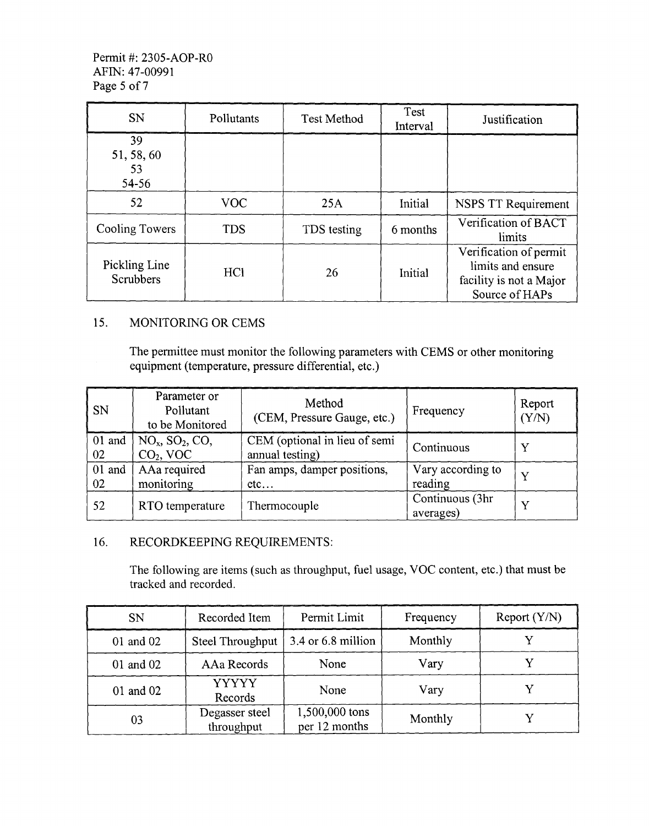| <b>SN</b>                         | Pollutants | <b>Test Method</b> | Test<br>Interval | Justification                                                                            |
|-----------------------------------|------------|--------------------|------------------|------------------------------------------------------------------------------------------|
| 39<br>51, 58, 60<br>53<br>54-56   |            |                    |                  |                                                                                          |
| 52                                | <b>VOC</b> | 25A                | Initial          | <b>NSPS TT Requirement</b>                                                               |
| Cooling Towers                    | <b>TDS</b> | TDS testing        | 6 months         | Verification of BACT<br>limits                                                           |
| Pickling Line<br><b>Scrubbers</b> | <b>HCl</b> | 26                 | Initial          | Verification of permit<br>limits and ensure<br>facility is not a Major<br>Source of HAPs |

#### 15. MONITORING OR CEMS

The permittee must monitor the following parameters with CEMS or other monitoring equipment (temperature, pressure differential, etc.)

| <b>SN</b>    | Parameter or<br>Pollutant<br>to be Monitored             | Method<br>(CEM, Pressure Gauge, etc.)            | Frequency                    | Report<br>(Y/N) |
|--------------|----------------------------------------------------------|--------------------------------------------------|------------------------------|-----------------|
| 01 and<br>02 | $NOx$ , SO <sub>2</sub> , CO <sub>2</sub><br>$CO2$ , VOC | CEM (optional in lieu of semi<br>annual testing) | Continuous                   |                 |
| 01 and<br>02 | AAa required<br>monitoring                               | Fan amps, damper positions,<br>etc               | Vary according to<br>reading |                 |
| 52           | RTO temperature                                          | Thermocouple                                     | Continuous (3hr<br>averages) |                 |

#### 16. RECORDKEEPING REQUIREMENTS:

The following are items (such as throughput, fuel usage, VOC content, etc.) that must be tracked and recorded.

| <b>SN</b> | Recorded Item                | Permit Limit                    | Frequency | Report $(Y/N)$ |
|-----------|------------------------------|---------------------------------|-----------|----------------|
| 01 and 02 | Steel Throughput             | 3.4 or 6.8 million              | Monthly   |                |
| 01 and 02 | AAa Records                  | None                            | Vary      |                |
| 01 and 02 | <b>YYYYY</b><br>Records      | None                            | Vary      |                |
| 03        | Degasser steel<br>throughput | 1,500,000 tons<br>per 12 months | Monthly   |                |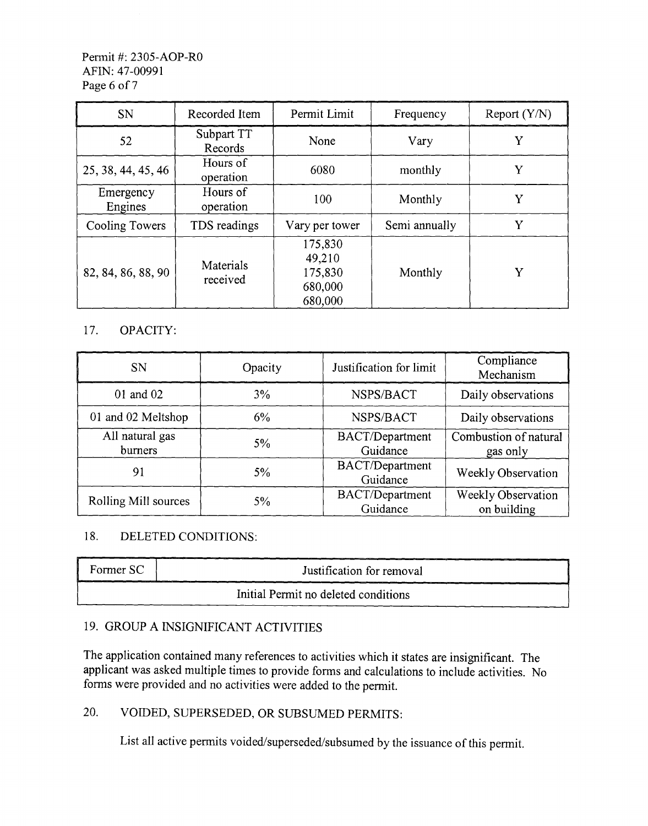#### Permit #: 2305-AOP-RO AFIN: 47-00991 Page 6 of 7

| <b>SN</b>            | Recorded Item         | Permit Limit                                       | Frequency     | Report (Y/N) |
|----------------------|-----------------------|----------------------------------------------------|---------------|--------------|
| 52                   | Subpart TT<br>Records | None                                               | Vary          | Y            |
| 25, 38, 44, 45, 46   | Hours of<br>operation | 6080                                               | monthly       | Y            |
| Emergency<br>Engines | Hours of<br>operation | 100                                                | Monthly       | Y            |
| Cooling Towers       | TDS readings          | Vary per tower                                     | Semi annually | Y            |
| 82, 84, 86, 88, 90   | Materials<br>received | 175,830<br>49,210<br>175,830<br>680,000<br>680,000 | Monthly       | Y            |

## 17. OPACITY:

| <b>SN</b>                  | Opacity | Justification for limit            | Compliance<br>Mechanism           |
|----------------------------|---------|------------------------------------|-----------------------------------|
| 01 and 02                  | 3%      | NSPS/BACT                          | Daily observations                |
| 01 and 02 Meltshop         | 6%      | NSPS/BACT                          | Daily observations                |
| All natural gas<br>burners | $5\%$   | <b>BACT/Department</b><br>Guidance | Combustion of natural<br>gas only |
| 91                         | 5%      | <b>BACT/Department</b><br>Guidance | Weekly Observation                |
| Rolling Mill sources       | 5%      | <b>BACT/Department</b><br>Guidance | Weekly Observation<br>on building |

## 18. DELETED CONDITIONS:

| Former SC                            | Justification for removal |  |
|--------------------------------------|---------------------------|--|
| Initial Permit no deleted conditions |                           |  |

## 19. GROUP A INSIGNIFICANT ACTIVITIES

The application contained many references to activities which it states are insignificant. The applicant was asked multiple times to provide forms and calculations to include activities. No forms were provided and no activities were added to the permit.

#### 20. VOIDED, SUPERSEDED, OR SUBSUMED PERMITS:

List all active permits voided/superseded/subsumed by the issuance of this permit.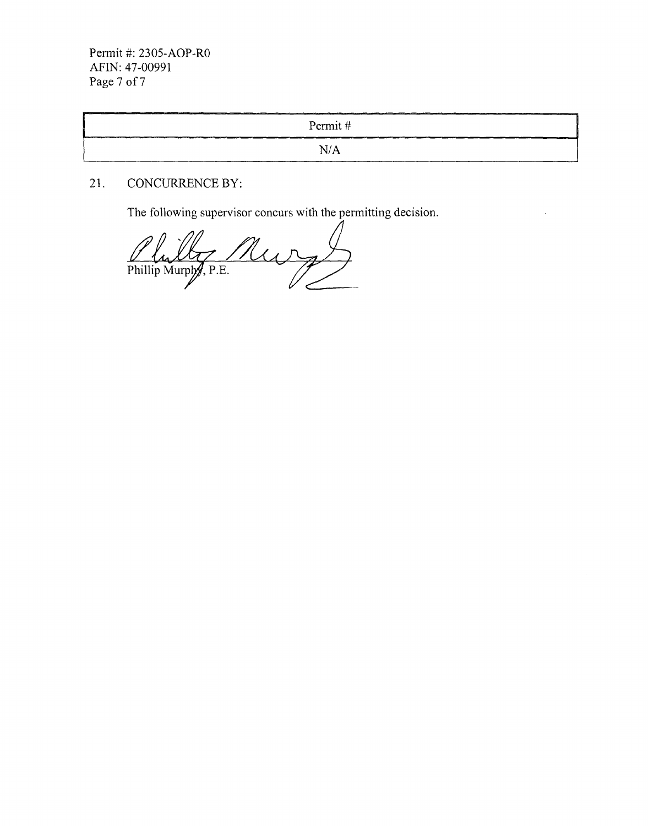Permit #: 2305-AOP-RO AFIN: 47-00991 Page 7 of 7

| يا الاستان المسافى المستقام المسافى المسافى المسافى المسافى المسافى المسافى المسافى المسافى المسافى المسافى المسافى المسافى المسافى المسافى المسافى المسافى المسافى المسافى المسافى المسافى المسافى المسافى المسافى المسافى ا<br>comes to construct the components of | _______<br>Permit#<br><u> 1986 - 1997 - 1998 - 1998 - 1998 - 1998 - 1998 - 1998 - 1998 - 1998 - 1998 - 1998 - 1998 - 1998 - 1998 - 1998 - 1998 - 1998 - 1998 - 1998 - 1998 - 1998 - 1998 - 1998 - 1998 - 1998 - 1998 - 1998 - 1998 - 1998 - 1998 - 199</u> |
|-----------------------------------------------------------------------------------------------------------------------------------------------------------------------------------------------------------------------------------------------------------------------|------------------------------------------------------------------------------------------------------------------------------------------------------------------------------------------------------------------------------------------------------------|
|                                                                                                                                                                                                                                                                       | N/A                                                                                                                                                                                                                                                        |

 $\mathcal{L}$ 

## 21. CONCURRENCE BY:

The following supervisor concurs with the permitting decision.

Nur Phillip Murphy, P.E.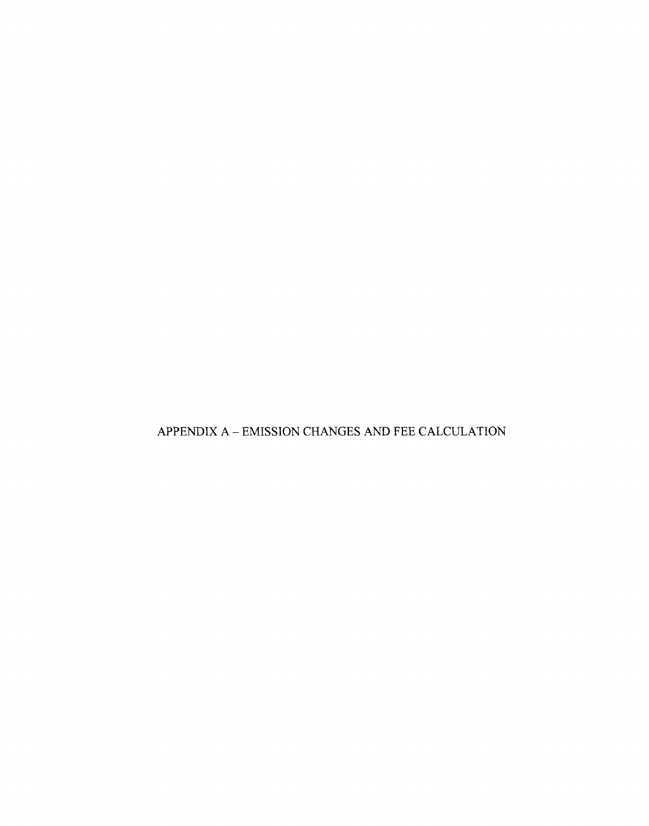APPENDIX A  $-$  EMISSION CHANGES AND FEE CALCULATION